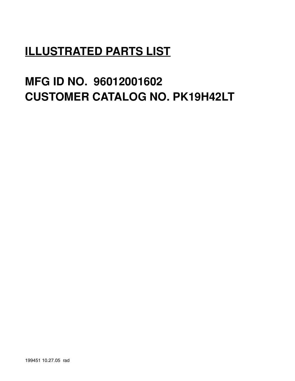# **ILLUSTRATED PARTS LIST**

# **MFG ID NO. 96012001602 CUSTOMER CATALOG NO. PK19H42LT**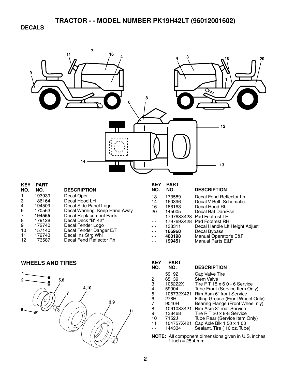**DECALS** 



| <b>KEY</b> | PAR I  |                               |
|------------|--------|-------------------------------|
| NO.        | NO.    | <b>DESCRIPTION</b>            |
| 1          | 193939 | Decal Oper                    |
| 3          | 186164 | Decal Hood LH                 |
| 4          | 194509 | Decal Side Panel Logo         |
| 6          | 170563 | Decal Warning, Keep Hand Away |
|            | 194555 | Decal Replacement Parts       |
| 8          | 179128 | Decal Deck "B" 42"            |
| 9          | 172740 | Decal Fender Logo             |
| 10         | 157140 | Decal Fender Danger E/F       |
| 11         | 172743 | Decal Ins Strg Whl            |
| 12         | 173587 | Decal Fend Reflector Rh       |
|            |        |                               |

| KEY<br>NO. | <b>PART</b><br>NO. | <b>DESCRIPTION</b>             |
|------------|--------------------|--------------------------------|
| 13         | 173589             | Decal Fend Reflector Lh        |
| 14         | 160396             | Decal V-Belt Schematic         |
| 16         | 186163             | Decal Hood Rh                  |
| 20         | 145005             | Decal Bat Dan/Psn              |
|            | 179768X428         | Pad Footrest LH                |
|            | 179769X428         | Pad Footrest RH                |
|            | 138311             | Decal Handle Lft Height Adjust |
|            | 166960             | Decal Bypass                   |
|            | 400198             | Manual Operator's E&F          |
|            | 199451             | <b>Manual Parts E&amp;F</b>    |

### **WHEELS AND TIRES**



| rey | PAR I                                                 |                                   |  |  |  |
|-----|-------------------------------------------------------|-----------------------------------|--|--|--|
| NO. | NO.                                                   | <b>DESCRIPTION</b>                |  |  |  |
|     | 59192                                                 | Cap Valve Tire                    |  |  |  |
| 2   | 65139                                                 | <b>Stem Valve</b>                 |  |  |  |
| 3   | 106222X                                               | Tire FT 15 x 6 0 - 6 Service      |  |  |  |
| 4   | 59904                                                 | Tube Front (Service Item Only)    |  |  |  |
| 5   | 106732X421                                            | Rim Asm 6" front Service          |  |  |  |
| 6   | 278H                                                  | Fitting Grease (Front Wheel Only) |  |  |  |
| 7   | 9040H                                                 | Bearing Flange (Front Wheel nly)  |  |  |  |
| 8   | 106108X421                                            | Rim Asm 8" rear Service           |  |  |  |
| 9   | 138468                                                | Tire R T 20 x 8-8 Service         |  |  |  |
| 10  | 7152J                                                 | Tube Rear (Service Item Only)     |  |  |  |
| 11  | 104757X421                                            | Cap Axle Blk 1 50 x 1 00          |  |  |  |
|     | 144334                                                | Sealant, Tire (10 oz. Tube)       |  |  |  |
|     | NATE. All component dimensions situate in LLC incluse |                                   |  |  |  |

**NOTE:** All component dimensions given in U.S. inches 1 inch = 25.4 mm

**KEY PART**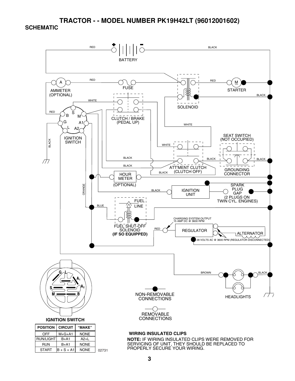#### **TRACTOR - - MODEL NUMBER PK19H42LT (96012001602) SCHEMATIC**



NONE 02731

START  $\vert B + S + A1 \vert$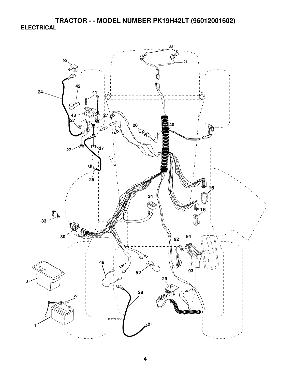**TRACTOR - - MODEL NUMBER PK19H42LT (96012001602) ELECTRICAL** 

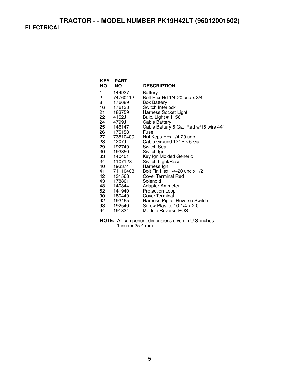| NO.            | <b>KEY PART</b><br>NO. | <b>DESCRIPTION</b>                    |
|----------------|------------------------|---------------------------------------|
| 1              | 144927                 | Battery                               |
| $\overline{c}$ | 74760412               | Bolt Hex Hd 1/4-20 unc x 3/4          |
| 8              | 176689                 | <b>Box Battery</b>                    |
| 16             | 176138                 | Switch Interlock                      |
| 21 —           | 183759                 | Harness Socket Light                  |
| 22             | 4152J                  | Bulb, Light # 1156                    |
| 24 —           | 4799J                  | Cable Battery                         |
| 25             | 146147                 | Cable Battery 6 Ga. Red w/16 wire 44" |
| 26 —           | 175158                 | Fuse                                  |
| 27             | 73510400               | Nut Keps Hex 1/4-20 unc               |
| 28 —           | 4207J                  | Cable Ground 12" Blk 6 Ga.            |
| 29 —           | 192749                 | Switch Seat                           |
| 30 —           | 193350                 | Switch Ign                            |
|                | 33 140401              | Key Ign Molded Generic                |
| 34 —           | 110712X                | Switch Light/Reset                    |
| 40 —           | 193374                 | Harness Ign                           |
|                | 41 71110408            | Bolt Fin Hex 1/4-20 unc x 1/2         |
| 42 —           | 131563                 | Cover Terminal Red                    |
| 43 —           | 178861                 | Solenoid                              |
| 48 —           | 140844                 | Adapter Ammeter                       |
| 52             | 141940                 | Protection Loop                       |
| 90 —           | 180449                 | <b>Cover Terminal</b>                 |
| 92 —           | 193465                 | Harness Pigtail Reverse Switch        |
| 93             | 192540                 | Screw Plastite 10-1/4 x 2.0           |
| 94             | 191834                 | Module Reverse ROS                    |

**NOTE:** All component dimensions given in U.S. inches 1 inch = 25.4 mm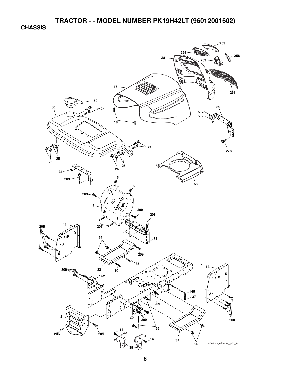**CHASSIS** 

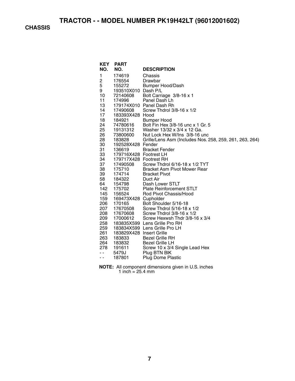**TRACTOR - - MODEL NUMBER PK19H42LT (96012001602)** 

**CHASSIS** 

| <b>KEY</b> | <b>PART</b>                        |                                                                |
|------------|------------------------------------|----------------------------------------------------------------|
| NO.        | NO.                                | <b>DESCRIPTION</b>                                             |
| 1          | 174619                             | Chassis                                                        |
| 2          | 176554                             | Drawbar                                                        |
| 5          | 155272                             | Bumper Hood/Dash                                               |
| 9          | 193510X010 Dash P/L                |                                                                |
| 10         | 72140608                           | Bolt Carriage 3/8-16 x 1                                       |
| 11         | 174996                             | Panel Dash Lh                                                  |
| 13         |                                    | 179174X010 Panel Dash Rh                                       |
| 14         | 17490608                           | Screw Thdrol 3/8-16 x 1/2                                      |
| 17         | 183393X428 Hood                    |                                                                |
| 18         | 184921                             | <b>Bumper Hood</b>                                             |
| 24         | 74780616                           | Bolt Fin Hex 3/8-16 unc x 1 Gr. 5                              |
| 25         | 19131312                           | Washer 13/32 x 3/4 x 12 Ga.                                    |
| 26         | 73800600                           | Nut Lock Hex W/Ins 3/8-16 unc                                  |
| 28         | 183828                             | Grille/Lens Asm (Includes Nos. 258, 259, 261, 263, 264)        |
| 30         | 192528X428 Fender                  |                                                                |
| 31         | 136619                             | <b>Bracket Fender</b>                                          |
| 33         | 179716X428 Footrest LH             |                                                                |
| 34         | 179717X428 Footrest RH             |                                                                |
| 37         | 17490508                           | Screw Thdrol 6/16-18 x 1/2 TYT                                 |
| 38         | 175710                             | <b>Bracket Asm Pivot Mower Rear</b>                            |
| 39         | 174714                             | <b>Bracket Pivot</b>                                           |
| 58         | 184322                             | Duct Air                                                       |
| 64         | 154798                             | Dash Lower STLT                                                |
| 142        | 175702                             | <b>Plate Reinforcement STLT</b>                                |
| 145        | 156524                             | Rod Pivot Chassis/Hood                                         |
| 159        | 169473X428 Cupholder               |                                                                |
| 206        | 170165                             | Bolt Shoulder 5/16-18                                          |
| 207        | 17670508                           | Screw Thdrol 5/16-18 x 1/2                                     |
| 208        | 17670608                           | Screw Thdrol 3/8-16 x 1/2                                      |
| 209<br>258 | 17000612                           | Screw Hexwsh Thdr 3/8-16 x 3/4                                 |
| 259        |                                    | 183835X599 Lens Grille Pro RH<br>183834X599 Lens Grille Pro LH |
| 261        |                                    |                                                                |
| 263        | 183829X428 Insert Grille<br>183833 | <b>Bezel Grille RH</b>                                         |
| 264        | 183832                             | <b>Bezel Grille LH</b>                                         |
| 278        | 191611                             |                                                                |
| $ -$       | 5479J                              | Screw 10 x 3/4 Single Lead Hex<br>Plug BTN BIK                 |
| - -        | 187801                             | <b>Plug Dome Plastic</b>                                       |
|            |                                    |                                                                |
|            |                                    |                                                                |

**NOTE:** All component dimensions given in U.S. inches 1 inch  $= 25.4$  mm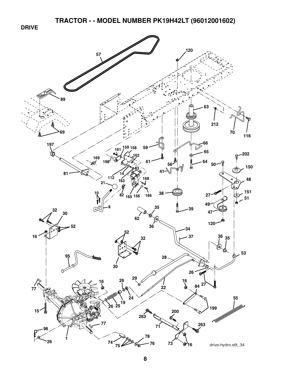**TRACTOR - - MODEL NUMBER PK19H42LT (96012001602)** 

**DRIVE** 

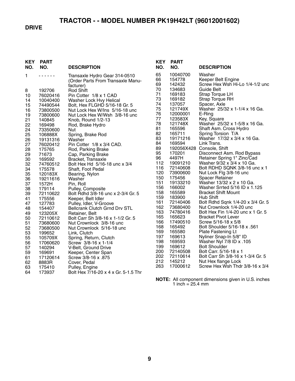# **TRACTOR - - MODEL NUMBER PK19H42LT (96012001602)**

#### **DRIVE**

| KEY<br>NO. | PART<br>NO.       | <b>DESCRIPTION</b>                                                              |
|------------|-------------------|---------------------------------------------------------------------------------|
| 1          |                   | Transaxle Hydro Gear 314-0510<br>(Order Parts From Transaxle Manu-<br>facturer) |
| 8          | 192706            | <b>Rod Shift</b>                                                                |
| 10         | 76020416          | Pin Cotter 1/8 x 1 CAD                                                          |
| 14         | 10040400          | Washer Lock Hvy Helical                                                         |
| 15         | 74490544          | Bolt, Hex FLGHD 5/16-18 Gr. 5                                                   |
| 16         | 73800500          | Nut Lock Hex W/Ins 5/16-18 unc                                                  |
| 19         | 73800600          | Nut Lock Hex W/Wsh 3/8-16 unc                                                   |
| 21         | 140845            | Knob, Round 1/2-13                                                              |
| 22         | 169498            | Rod, Brake Hydro                                                                |
| 24         | 73350600          | Nut                                                                             |
| 25         | 106888X           | Spring, Brake Rod                                                               |
| 26         | 19131316          | Washer                                                                          |
| 27         | 76020412          | Pin Cotter 1/8 x 3/4 CAD.                                                       |
| 28         | 175765            | Rod, Parking Brake                                                              |
| 29         | 71673             | Cap, Parking Brake                                                              |
| 30         | 169592            | Bracket, Transaxle                                                              |
| 32         | 74760512          | Bolt Hex Hd 5/16-18 unc x 3/4                                                   |
| 34         | 175578            | Shaft, Foot Pedal                                                               |
| 35         | 120183X           | Bearing, Nylon<br>Washer                                                        |
| 36<br>37   | 19211616<br>1572H | Pin, Roll                                                                       |
| 38         | 179114            | Pulley, Composite                                                               |
| 39         | 72110622          | Bolt Rdhd 3/8-16 unc x 2-3/4 Gr. 5                                              |
| 41         | 175556            | Keeper, Belt Idler                                                              |
| 47         | 127783            | Pulley, Idler, V-Groove                                                         |
| 48         | 154407            | <b>Bellcrank Clutch Grnd Drv STL</b>                                            |
| 49         | 123205X           | Retainer, Belt                                                                  |
| 50         | 72110612          | Bolt Carr Sh 3/8-16 x 1-1/2 Gr. 5                                               |
| 51         | 73680600          | Nut Crownlock 3/8-16 unc                                                        |
| 52         | 73680500          | Nut Crownlock 5/16-18 unc                                                       |
| 53         | 199652            | Link, Clutch                                                                    |
| 55         | 105709X           | Spring, Return, Clutch                                                          |
| 56         | 17060620          | Screw 3/8-16 x 1-1/4                                                            |
| 57         | 140294            | V-Belt, Ground Drive                                                            |
| 59         | 169691            | Keeper, Center Span                                                             |
| 61         | 17120614          | Screw 3/8-16 x .875                                                             |
| 62         | 8883R             | Cover, Pedal                                                                    |
| 63         | 175410            | Pulley, Engine                                                                  |
| 64         | 173937            | Bolt Hex 7/16-20 x 4 x Gr. 5-1.5 Thr                                            |

| KEY        | <b>PART</b>          |                                                               |
|------------|----------------------|---------------------------------------------------------------|
| NO.        | NO.                  | <b>DESCRIPTION</b>                                            |
| 65         | 10040700             | Washer                                                        |
| 66         | 154778               | Keeper Belt Engine                                            |
| 69         | 142432               | Screw Hex Wsh Hi-Lo 1/4-1/2 unc                               |
| 70         | 134683               | Guide Belt                                                    |
| 71         | 169183               | Strap Torque LH                                               |
| 73         | 169182               | <b>Strap Torque RH</b>                                        |
| 74         | 137057               | Spacer, Axle                                                  |
| 75         | 121749X              | Washer 25/32 x 1-1/4 x 16 Ga.                                 |
| 76         | 12000001             | E-Ring                                                        |
| 77         | 123583X              | Key, Square                                                   |
| 78<br>81   | 121748X<br>165596    | Washer 25/32 x 1-5/8 x 16 Ga.<br>Shaft Asm. Cross Hydro       |
| 82         | 165711               | Spring Torsion T/A                                            |
| 83         | 19171216             | Washer 17/32 x 3/4 x 16 Ga.                                   |
| 84         | 169594               | Link Trans.                                                   |
| 89         | 192056X428           | Console, Shift                                                |
| 95         | 170201               | Disconnect Asm. Rod Bypass                                    |
| 96         | 4497H                | Retainer Spring 1" Zinc/Cad                                   |
| 112        | 19091210             | Washer 9/32 x 3/4 x 10 Ga.                                    |
| 116        | 72140608             | Bolt RDHD SQNK 3/8-16 unc x 1                                 |
| 120        | 73900600             | Nut Lock Flg 3/8-16 unc                                       |
| 150        | 175456               | <b>Spacer Retainer</b>                                        |
| 151        | 19133210             | Washer 13/32 x 2 x 10 Ga.                                     |
| 156        | 166002               | Washer Srrted 5/16 ID x 1.125                                 |
| 158        | 165589               | <b>Bracket Shift Mount</b>                                    |
| 159        | 183900               | Hub Shift                                                     |
| 161<br>162 | 72140406<br>73680400 | Bolt Rdhd Sqnk 1/4-20 x 3/4 Gr. 5<br>Nut Crownlock 1/4-20 unc |
| 163        | 74780416             | Bolt Hex Fin 1/4-20 unc x 1 Gr. 5                             |
| 165        | 165623               | <b>Bracket Pivot Lever</b>                                    |
| 166        | 17490510             | Screw 5/16-18 x 5/8                                           |
| 168        | 165492               | 561. Bolt Shoulder 5/16-18 x                                  |
| 169        | 165580               | Plate Fastening Lt                                            |
| 197        | 169613               | Nyliner Snap-In 5/8" ID                                       |
| 198        | 169593               | 105. Washer Nyl 7/8 ID x                                      |
| 199        | 169612               | <b>Bolt Shoulder</b>                                          |
| 200        | 72140508             | Bolt Carr. 5/16-18 x 1                                        |
| 202        | 72110614             | Bolt Carr Sh 3/8-16 x 1-3/4 Gr. 5                             |
| 212        | 145212               | Nut Hex flange Lock                                           |
| 263        | 17000612             | Screw Hex Wsh Thdr 3/8-16 x 3/4                               |

**NOTE:** All component dimensions given in U.S. inches 1 inch = 25.4 mm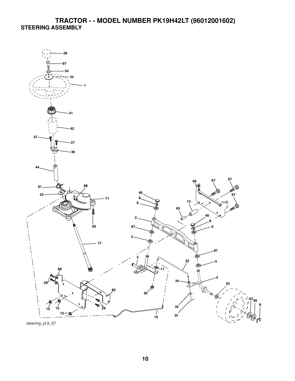#### **TRACTOR - - MODEL NUMBER PK19H42LT (96012001602) STEERING ASSEMBLY**



steering\_pl.lt\_57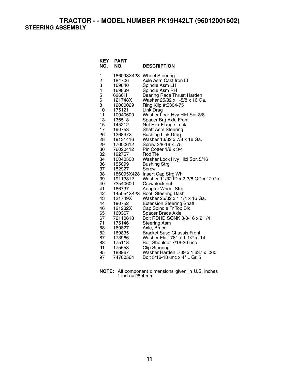**TRACTOR - - MODEL NUMBER PK19H42LT (96012001602) STEERING ASSEMBLY** 

| <b>KEY</b><br>NO. | <b>PART</b><br>NO.   | <b>DESCRIPTION</b>                                                 |
|-------------------|----------------------|--------------------------------------------------------------------|
| 1                 |                      | 186093X428 Wheel Steering                                          |
| $\overline{c}$    | 184706               | Axle Asm Cast Iron LT                                              |
| 3                 | 169840               | Spindle Asm LH                                                     |
| 4                 | 169839               | Spindle Asm RH                                                     |
| 5                 | 6266H                | <b>Bearing Race Thrust Harden</b>                                  |
| 6                 | 121748X              | Washer 25/32 x 1-5/8 x 16 Ga.                                      |
| 8                 | 12000029             | Ring Klip #t5304-75                                                |
| 10<br>11          | 175121               | Link Drag<br>Washer Lock Hvy Hlcl Spr 3/8                          |
| 13                | 10040600<br>136518   | Spacer Brg Axle Front                                              |
| 15                | 145212               | Nut Hex Flange Lock                                                |
| 17                | 190753               | Shaft Asm Steering                                                 |
| 26                | 126847X              | <b>Bushing Link Drag</b>                                           |
| 28                | 19131416             | Washer 13/32 x 7/8 x 16 Ga.                                        |
| 29                | 17000612             | Screw 3/8-16 x .75                                                 |
| 30                | 76020412             | Pin Cotter 1/8 x 3/4                                               |
| 32                | 192757               | <b>Rod Tie</b>                                                     |
| 34                | 10040500             | Washer Lock Hvy Hlcl Spr. 5/16                                     |
| 36                | 155099               | <b>Bushing Strg</b>                                                |
| 37                | 152927               | Screw                                                              |
| 38                | 186095X428           | Insert Cap Strg Wh<br>Washer 11/32 ID x 2-3/8 OD x 12 Ga.          |
| 39<br>40          | 19113812<br>73540600 | Crownlock nut                                                      |
| 41                | 186737               | <b>Adaptor Wheel Strg</b>                                          |
| 42                | 145054X428           | Boot Steering Dash                                                 |
| 43                | 121749X              | Washer 25/32 x 1 1/4 x 16 Ga.                                      |
| 44                | 190752               | <b>Extension Steering Shaft</b>                                    |
| 46                | 121232X              | Cap Spindle Fr Top Blk                                             |
| 65                | 160367               | <b>Spacer Brace Axle</b>                                           |
| 67                | 72110618             | Bolt RDHD SQNK 3/8-16 x 2 1/4                                      |
| 71                | 175146               | <b>Steering Asm</b>                                                |
| 68                | 169827               | Axle, Brace                                                        |
| 82                | 169835               | Bracket Susp Chassis Front<br>Washer Flat .781 x 1-1/2 x .14       |
| 87                | 173966               |                                                                    |
| 88                | 175118               | Bolt Shoulder 7/16-20 unc                                          |
| 91<br>95          | 175553               | <b>Clip Steering</b>                                               |
| 97                | 188967<br>74780564   | Washer Harden .739 x 1.637 x .060<br>Bolt 5/16-18 unc x 4" L Gr. 5 |
|                   |                      |                                                                    |

**NOTE:** All component dimensions given in U.S. inches 1 inch =  $25.4 \, \text{mm}$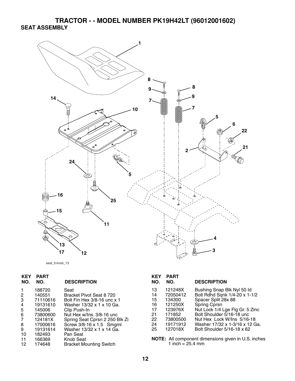## **TRACTOR - - MODEL NUMBER PK19H42LT (96012001602) SEAT ASSEMBLY**



seat\_lt.knob\_13

| <b>KEY</b><br>NO. | <b>PART</b><br>NO. | <b>DESCRIPTION</b>             | <b>KEY</b><br>NO. | <b>PART</b><br>NO.         | <b>DESCRIPTION</b>                                  |
|-------------------|--------------------|--------------------------------|-------------------|----------------------------|-----------------------------------------------------|
|                   | 188720             | Seat                           | 13                | 121248X                    | Bushing Snap Blk Nyl 50 ld                          |
| $\mathbf{2}$      | 140551             | Bracket Pivot Seat 8 720       | 14                | 72050412                   | Bolt Rdhd Sqnk 1/4-20 x 1-1/2                       |
| 3                 | 71110616           | Bolt Fin Hex 3/8-16 unc x 1    | 15                | 134300                     | Spacer Split 28x 88                                 |
| 4                 | 19131610           | Washer 13/32 x 1 x 10 Ga.      | 16                | 121250X                    | Spring Cprsn                                        |
| 5                 | 145006             | Clip Push-In                   | 17                | 123976X                    | Nut Lock 1/4 Lge Flg Gr. 5 Zinc                     |
| 6                 | 73800600           | Nut Hex w/lns. 3/8-16 unc      | 21                | 171852                     | Bolt Shoulder 5/16-18 unc                           |
| 7                 | 124181X            | Spring Seat Cprsn 2 250 Blk Zi | 22                | 73800500                   | Nut Hex Lock W/Ins 5/16-18                          |
| 8                 | 17000616           | Screw 3/8-16 x 1.5 Smgml       | 24                | 19171912                   | Washer 17/32 x 1-3/16 x 12 Ga.                      |
| 9                 | 19131614           | Washer 13/32 x 1 x 14 Ga.      | 25                | 127018X                    | Bolt Shoulder 5/16-18 x 62                          |
| 10                | 182493             | Pan Seat                       |                   |                            |                                                     |
| 11                | 166369             | Knob Seat                      |                   |                            | NOTE: All component dimensions given in U.S. inches |
| 12                | 174648             | <b>Bracket Mounting Switch</b> |                   | 1 inch = $25.4 \text{ mm}$ |                                                     |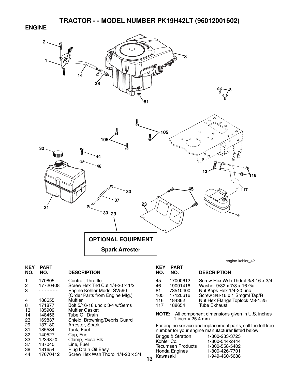**ENGINE** 



| <b>KEY</b><br>NO.                                                 | <b>PART</b><br>NO.                                                                                      | <b>DESCRIPTION</b>                                                                                                                                                                                                                                                                              |    | <b>KEY</b><br>NO.                                   | <b>PART</b><br>NO.                                                                                          | <b>DESCRIPTION</b>                                                                                                                                                                                                                                                                                                                                                          |
|-------------------------------------------------------------------|---------------------------------------------------------------------------------------------------------|-------------------------------------------------------------------------------------------------------------------------------------------------------------------------------------------------------------------------------------------------------------------------------------------------|----|-----------------------------------------------------|-------------------------------------------------------------------------------------------------------------|-----------------------------------------------------------------------------------------------------------------------------------------------------------------------------------------------------------------------------------------------------------------------------------------------------------------------------------------------------------------------------|
| $\overline{c}$<br>3<br>4<br>8<br>13<br>14<br>23<br>29<br>31<br>32 | 170805<br>17720408<br>.<br>188655<br>171877<br>185909<br>148456<br>169837<br>137180<br>185534<br>140527 | Control, Throttle<br>Screw Hex Thd Cut 1/4-20 x 1/2<br>Engine Kohler Model SV590<br>(Order Parts from Engine Mfg.)<br><b>Muffler</b><br>Bolt 5/16-18 unc x 3/4 w/Sems<br><b>Muffler Gasket</b><br>Tube Oil Drain<br>Shield, Browning/Debris Guard<br>Arrester, Spark<br>Tank, Fuel<br>Cap, Fuel |    | 45<br>46<br>81<br>105<br>116<br>117<br><b>NOTE:</b> | 17000612<br>19091416<br>73510400<br>17120616<br>184362<br>188654<br>1 inch = $25.4$ mm<br>Briggs & Stratton | Screw Hex Wsh Thdrol 3/8-16 x 3/4<br>Washer 9/32 x 7/8 x 16 Ga.<br>Nut Keps Hex 1/4-20 unc<br>Screw 3/8-16 x 1 Smgml Tap/R<br>Nut Hex Flange Toplock M8-1.25<br><b>Tube Exhaust</b><br>All component dimensions given in U.S. inches<br>For engine service and replacement parts, call the toll free<br>number for your engine manufacturer listed below:<br>1-800-233-3723 |
| 33<br>37<br>38<br>44                                              | 123487X<br>137040<br>181654<br>17670412                                                                 | Clamp, Hose Blk<br>Line, Fuel<br>Plug Drain Oil Easy<br>Screw Hex Wsh Thdrol 1/4-20 x 3/4                                                                                                                                                                                                       | 13 | Kohler Co.<br>Kawasaki                              | <b>Tecumseh Products</b><br>Honda Engines                                                                   | 1-800-544-2444<br>1-800-558-5402<br>1-800-426-7701<br>1-949-460-5688                                                                                                                                                                                                                                                                                                        |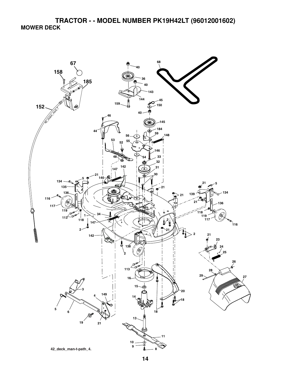**TRACTOR - - MODEL NUMBER PK19H42LT (96012001602) MOWER DECK** 

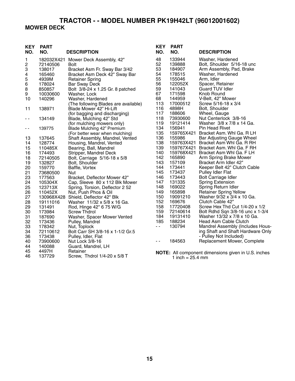#### **TRACTOR - - MODEL NUMBER PK19H42LT (96012001602) MOWER DECK**

#### **KEY PART NO. NO. DESCRIPTION KEY PART NO. NO. DESCRIPTION** 1 182032X421 Mower Deck Assembly, 42" 2 72140506 Bolt 3 138017 Bracket Asm Fr. Sway Bar 3/42 4 165460 Bracket Asm Deck 42" Sway Bar 5 4939M Retainer Spring<br>6 178024 Bar Sway Deck Bar Sway Deck 8 850857 Bolt 3/8-24 x 1.25 Gr. 8 patched 9 10030600 Washer, Lock Washer, Hardened (The following Blades are available)<br>11 138971 Blade Mower 42" Hi-Lift Blade Mower 42" Hi-Lift (for bagging and discharging)<br>- 134149 Blade, Mulching 42" Std Blade, Mulching 42" Std (for mulching mowers only)<br>139775 Blade Mulching 42" Premium - - 139775 Blade Mulching 42" Premium (For better wear when mulching) 13 137645 Shaft Assembly, Mandrel, Vented 14 128774 Housing, Mandrel, Vented<br>15 110485X Bearing, Ball, Mandrel 110485X Bearing, Ball, Mandrel<br>174493 Stripper, Mandrel Deck 16 174493 Stripper, Mandrel Deck<br>18 72140505 Bolt. Carriage 5/16-18 18 72140505 Bolt, Carriage 5/16-18 x 5/8 19 132827 Bolt, Shoulder<br>20 159770 Baffle. Vortex 20 159770 Baffle, Vortex<br>21 73680500 Nut 73680500 23 177563 Bracket, Deflector Mower 42"<br>24 105304X Cap, Sleeve 80 x 112 Blk Mc 24 105304X Cap, Sleeve 80 x 112 Blk Mower<br>25 123713X Spring, Torsion, Deflector 2 52 25 123713X Spring, Torsion, Deflector 2 52<br>26 110452X Nut. Push Phos & Oil 26 110452X Nut, Push Phos & Oil 130968X428 Shield, Deflector 42" Blk 28 19111016 Washer 11/32 x 5/8 x 16 Ga. 29 131491 Rod, Hinge 42" 6 75 W/G 173984 Screw Thdrol<br>187690 Washer, Spac 31 187690 Washer, Spacer Mower Vented 32 173436 Pulley, Mandrel 33 178342 Nut, Toplock 34 72110612 Bolt Carr SH 3/8-16 x 1-1/2 Gr.5 36 173438 Pulley, Idler, Flat 40 73900600 Nut Lock 3/8-16 44 140088 Guard, Mandrel, LH<br>45 4497H Retainer 45 4497H Retainer Screw, Thdrol 1/4-20 x 5/8 T 48 133944 Washer, Hardened 52 139888 Bolt, Shoulder 5/16-18 unc 53 184907 Arm Assembly, Pad, Brake<br>54 178515 Washer, Hardened 54 178515 Washer, Hardened<br>55 155046 Arm. Idler 55 155046 Arm, Idler 56 122052X Spacer, Retainer 59 141043 Guard TUV Idler<br>67 171598 Knob Round 67 171598 Knob Round 144959 V-Belt, 42" Mower<br>17000512 Screw 5/16-18 x 3 113 17000512 Screw 5/16-18 x 3/4<br>116 4898H Bolt. Shoulder 116 4898H Bolt, Shoulder<br>117 188606 Wheel, Gauge 117 188606 Wheel, Gauge 118 73930600 Nut Centerlock 3/8-16 Washer  $3/8 \times 7/8 \times 14$  Ga. 134 156941 Pin Head Rivet 135 159765X421 Bracket Asm. Whl Ga. R LH<br>136 155986 Bar Adjusting Gauge Wheel 136 155986 Bar Adjusting Gauge Wheel 138 159763X421 Bracket Asm Whl Ga. R RH 139 159767X421 Bracket Asm. Whl Ga. F RH 140 159768X421 Bracket Asm Whl Ga. F LH 142 165890 Arm Spring Brake Mower<br>143 157109 Bracket Arm Idler 42" Bracket Arm Idler 42" 144 173441 Keeper Belt 42" Clutch Cable<br>145 173437 Pulley Idler Flat 145 173437 Pulley Idler Flat 146 173443 Bolt Carriage Idler<br>147 131335 Spring Extension 147 131335 Spring Extension<br>148 169022 Spring Return Idl 148 169022 Spring Return Idler 149 165898 Retainer Spring Yellow<br>150 19091210 Washer 9/32 x 3/4 x 10 150 19091210 Washer 9/32 x 3/4 x 10 Ga. Clutch Cable 42" 158 17720408 Screw Hex Thd Cut 1/4-20 x 1/2 159 72140614 Bolt Rdhd Sqn 3/8-16 unc x 1-3/4 184 19131410 Washer 13/32 x 7/8 x 10 Ga. 188234 Head Asm Cable Clutch<br>130794 Mandrel Assembly (Inclu - 130794 Mandrel Assembly (Includes Housing Shaft and Shaft Hardware Only - Pulley Not Included) 184563 Replacement Mower, Complete **NOTE:** All component dimensions given in U.S. inches 1 inch  $= 25.4$  mm